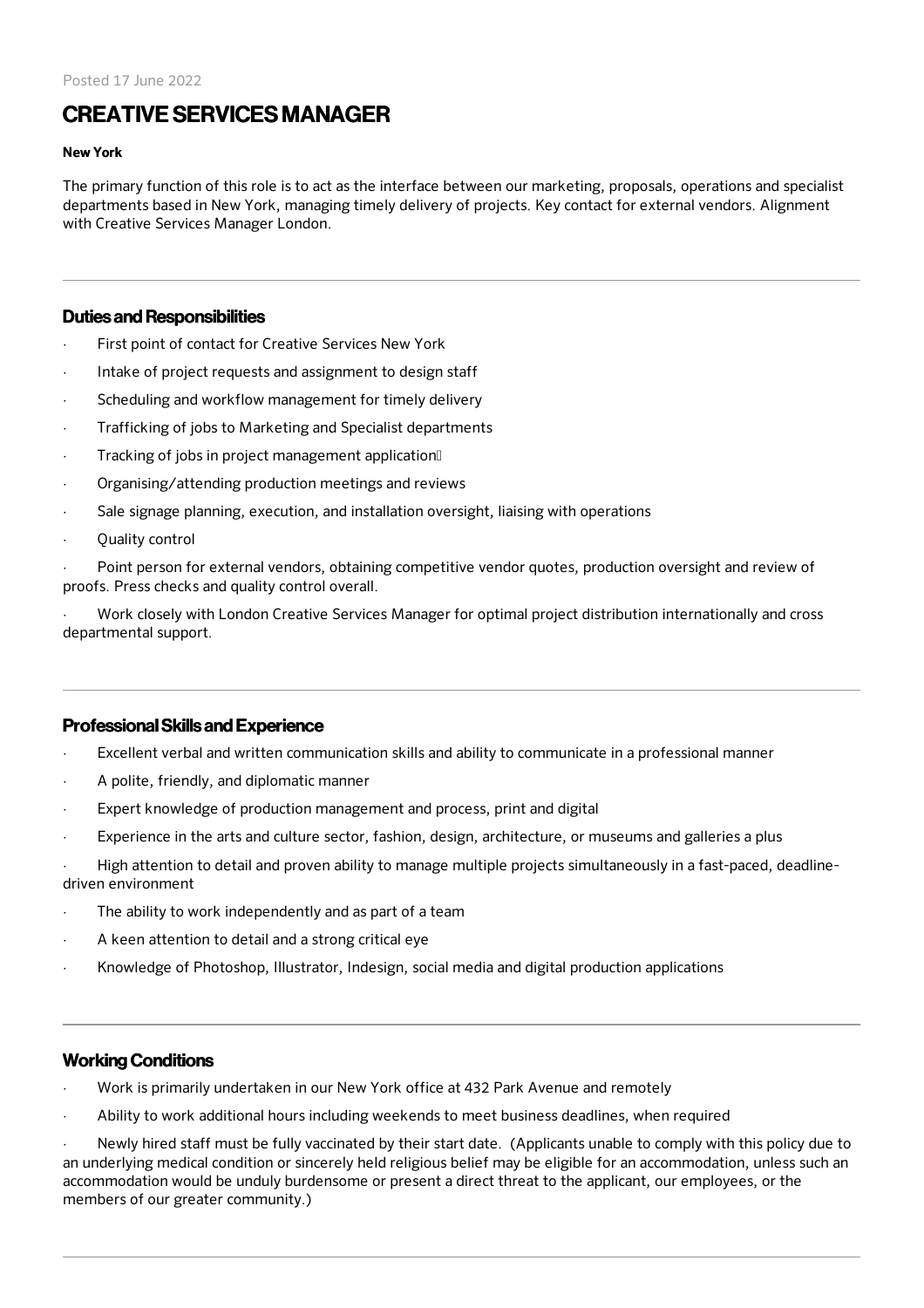# CREATIVE SERVICESMANAGER

#### New York

The primary function of this role is to act as the interface between our marketing, proposals, operations and specialist departments based in New York, managing timely delivery of projects. Key contact for external vendors. Alignment with Creative Services Manager London.

### Duties and Responsibilities

- First point of contact for Creative Services New York
- Intake of project requests and assignment to design staff
- Scheduling and workflow management for timely delivery
- Trafficking of jobs to Marketing and Specialist departments
- Tracking of jobs in project management application<sup>[]</sup>
- · Organising/attending production meetings and reviews
- Sale signage planning, execution, and installation oversight, liaising with operations
- Ouality control

Point person for external vendors, obtaining competitive vendor quotes, production oversight and review of proofs. Press checks and quality control overall.

· Work closely with London Creative Services Manager for optimal project distribution internationally and cross departmental support.

# ProfessionalSkills and Experience

- Excellent verbal and written communication skills and ability to communicate in a professional manner
- · A polite, friendly, and diplomatic manner
- Expert knowledge of production management and process, print and digital
- Experience in the arts and culture sector, fashion, design, architecture, or museums and galleries a plus
- · High attention to detail and proven ability to manage multiple projects simultaneously in a fast-paced, deadlinedriven environment
- The ability to work independently and as part of a team
- A keen attention to detail and a strong critical eye
- · Knowledge of Photoshop, Illustrator, Indesign, social media and digital production applications

# Working Conditions

- · Work is primarily undertaken in our New York office at 432 Park Avenue and remotely
- · Ability to work additional hours including weekends to meet business deadlines, when required

Newly hired staff must be fully vaccinated by their start date. (Applicants unable to comply with this policy due to an underlying medical condition or sincerely held religious belief may be eligible for an accommodation, unless such an accommodation would be unduly burdensome or present a direct threat to the applicant, our employees, or the members of our greater community.)